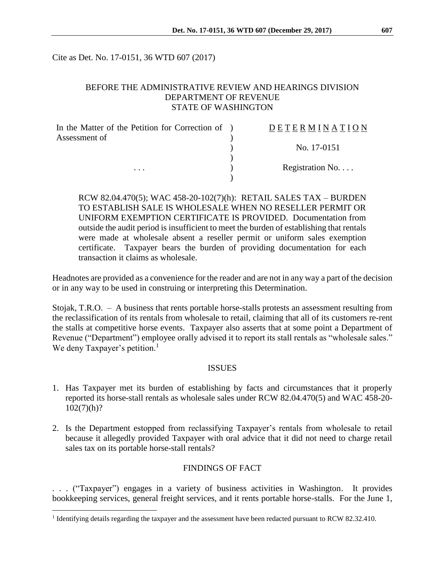Cite as Det. No. 17-0151, 36 WTD 607 (2017)

## BEFORE THE ADMINISTRATIVE REVIEW AND HEARINGS DIVISION DEPARTMENT OF REVENUE STATE OF WASHINGTON

| In the Matter of the Petition for Correction of ) | DETERMINATION   |
|---------------------------------------------------|-----------------|
| Assessment of                                     |                 |
|                                                   | No. 17-0151     |
|                                                   |                 |
| $\cdots$                                          | Registration No |
|                                                   |                 |

RCW 82.04.470(5); WAC 458-20-102(7)(h): RETAIL SALES TAX – BURDEN TO ESTABLISH SALE IS WHOLESALE WHEN NO RESELLER PERMIT OR UNIFORM EXEMPTION CERTIFICATE IS PROVIDED. Documentation from outside the audit period is insufficient to meet the burden of establishing that rentals were made at wholesale absent a reseller permit or uniform sales exemption certificate. Taxpayer bears the burden of providing documentation for each transaction it claims as wholesale.

Headnotes are provided as a convenience for the reader and are not in any way a part of the decision or in any way to be used in construing or interpreting this Determination.

Stojak, T.R.O. – A business that rents portable horse-stalls protests an assessment resulting from the reclassification of its rentals from wholesale to retail, claiming that all of its customers re-rent the stalls at competitive horse events. Taxpayer also asserts that at some point a Department of Revenue ("Department") employee orally advised it to report its stall rentals as "wholesale sales." We deny Taxpayer's petition.<sup>1</sup>

### ISSUES

- 1. Has Taxpayer met its burden of establishing by facts and circumstances that it properly reported its horse-stall rentals as wholesale sales under RCW 82.04.470(5) and WAC 458-20-  $102(7)(h)?$
- 2. Is the Department estopped from reclassifying Taxpayer's rentals from wholesale to retail because it allegedly provided Taxpayer with oral advice that it did not need to charge retail sales tax on its portable horse-stall rentals?

# FINDINGS OF FACT

. . . ("Taxpayer") engages in a variety of business activities in Washington. It provides bookkeeping services, general freight services, and it rents portable horse-stalls. For the June 1,

 $\overline{a}$ 

<sup>&</sup>lt;sup>1</sup> Identifying details regarding the taxpayer and the assessment have been redacted pursuant to RCW 82.32.410.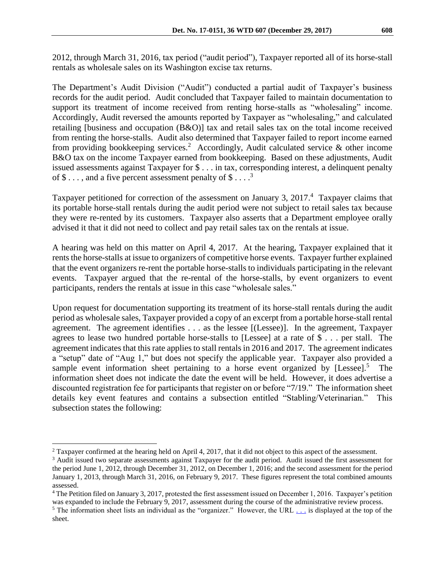2012, through March 31, 2016, tax period ("audit period"), Taxpayer reported all of its horse-stall rentals as wholesale sales on its Washington excise tax returns.

The Department's Audit Division ("Audit") conducted a partial audit of Taxpayer's business records for the audit period. Audit concluded that Taxpayer failed to maintain documentation to support its treatment of income received from renting horse-stalls as "wholesaling" income. Accordingly, Audit reversed the amounts reported by Taxpayer as "wholesaling," and calculated retailing [business and occupation (B&O)] tax and retail sales tax on the total income received from renting the horse-stalls. Audit also determined that Taxpayer failed to report income earned from providing bookkeeping services.<sup>2</sup> Accordingly, Audit calculated service  $\&$  other income B&O tax on the income Taxpayer earned from bookkeeping. Based on these adjustments, Audit issued assessments against Taxpayer for \$ . . . in tax, corresponding interest, a delinquent penalty of  $\$\dots$ , and a five percent assessment penalty of  $\$\dots$ <sup>3</sup>

Taxpayer petitioned for correction of the assessment on January 3, 2017.<sup>4</sup> Taxpayer claims that its portable horse-stall rentals during the audit period were not subject to retail sales tax because they were re-rented by its customers. Taxpayer also asserts that a Department employee orally advised it that it did not need to collect and pay retail sales tax on the rentals at issue.

A hearing was held on this matter on April 4, 2017. At the hearing, Taxpayer explained that it rents the horse-stalls at issue to organizers of competitive horse events. Taxpayer further explained that the event organizers re-rent the portable horse-stalls to individuals participating in the relevant events. Taxpayer argued that the re-rental of the horse-stalls, by event organizers to event participants, renders the rentals at issue in this case "wholesale sales."

Upon request for documentation supporting its treatment of its horse-stall rentals during the audit period as wholesale sales, Taxpayer provided a copy of an excerpt from a portable horse-stall rental agreement. The agreement identifies . . . as the lessee [(Lessee)]. In the agreement, Taxpayer agrees to lease two hundred portable horse-stalls to [Lessee] at a rate of \$ . . . per stall. The agreement indicates that this rate applies to stall rentals in 2016 and 2017. The agreement indicates a "setup" date of "Aug 1," but does not specify the applicable year. Taxpayer also provided a sample event information sheet pertaining to a horse event organized by  $[Lesse]$ <sup>5</sup>. The information sheet does not indicate the date the event will be held. However, it does advertise a discounted registration fee for participants that register on or before "7/19." The information sheet details key event features and contains a subsection entitled "Stabling/Veterinarian." This subsection states the following:

 $\overline{a}$ 

<sup>&</sup>lt;sup>2</sup> Taxpayer confirmed at the hearing held on April 4, 2017, that it did not object to this aspect of the assessment.

<sup>&</sup>lt;sup>3</sup> Audit issued two separate assessments against Taxpayer for the audit period. Audit issued the first assessment for the period June 1, 2012, through December 31, 2012, on December 1, 2016; and the second assessment for the period January 1, 2013, through March 31, 2016, on February 9, 2017. These figures represent the total combined amounts assessed.

<sup>4</sup> The Petition filed on January 3, 2017, protested the first assessment issued on December 1, 2016. Taxpayer's petition was expanded to include the February 9, 2017, assessment during the course of the administrative review process.

<sup>&</sup>lt;sup>5</sup> The information sheet lists an individual as the "organizer." However, the URL  $\ldots$  is displayed at the top of the sheet.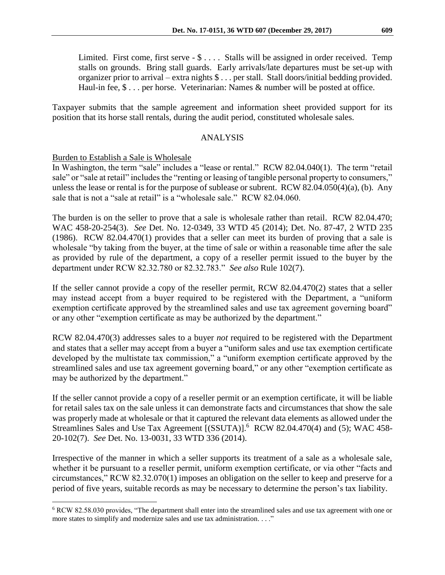Limited. First come, first serve - \$ . . . . Stalls will be assigned in order received. Temp stalls on grounds. Bring stall guards. Early arrivals/late departures must be set-up with organizer prior to arrival – extra nights \$ . . . per stall. Stall doors/initial bedding provided. Haul-in fee,  $\$ \dots$  per horse. Veterinarian: Names  $\&$  number will be posted at office.

Taxpayer submits that the sample agreement and information sheet provided support for its position that its horse stall rentals, during the audit period, constituted wholesale sales.

## ANALYSIS

## Burden to Establish a Sale is Wholesale

 $\overline{a}$ 

In Washington, the term "sale" includes a "lease or rental." RCW 82.04.040(1). The term "retail sale" or "sale at retail" includes the "renting or leasing of tangible personal property to consumers," unless the lease or rental is for the purpose of sublease or subrent. RCW 82.04.050(4)(a), (b). Any sale that is not a "sale at retail" is a "wholesale sale."  $RCW$  82.04.060.

The burden is on the seller to prove that a sale is wholesale rather than retail. RCW 82.04.470; WAC 458-20-254(3). *See* Det. No. 12-0349, 33 WTD 45 (2014); Det. No. 87-47, 2 WTD 235 (1986). RCW 82.04.470(1) provides that a seller can meet its burden of proving that a sale is wholesale "by taking from the buyer, at the time of sale or within a reasonable time after the sale as provided by rule of the department, a copy of a reseller permit issued to the buyer by the department under RCW 82.32.780 or 82.32.783." *See also* Rule 102(7).

If the seller cannot provide a copy of the reseller permit, RCW 82.04.470(2) states that a seller may instead accept from a buyer required to be registered with the Department, a "uniform exemption certificate approved by the streamlined sales and use tax agreement governing board" or any other "exemption certificate as may be authorized by the department."

RCW 82.04.470(3) addresses sales to a buyer *not* required to be registered with the Department and states that a seller may accept from a buyer a "uniform sales and use tax exemption certificate developed by the multistate tax commission," a "uniform exemption certificate approved by the streamlined sales and use tax agreement governing board," or any other "exemption certificate as may be authorized by the department."

If the seller cannot provide a copy of a reseller permit or an exemption certificate, it will be liable for retail sales tax on the sale unless it can demonstrate facts and circumstances that show the sale was properly made at wholesale or that it captured the relevant data elements as allowed under the Streamlines Sales and Use Tax Agreement [(SSUTA)].<sup>6</sup> RCW 82.04.470(4) and (5); WAC 458-20-102(7). *See* Det. No. 13-0031, 33 WTD 336 (2014).

Irrespective of the manner in which a seller supports its treatment of a sale as a wholesale sale, whether it be pursuant to a reseller permit, uniform exemption certificate, or via other "facts and circumstances," RCW 82.32.070(1) imposes an obligation on the seller to keep and preserve for a period of five years, suitable records as may be necessary to determine the person's tax liability.

<sup>6</sup> RCW 82.58.030 provides, "The department shall enter into the streamlined sales and use tax agreement with one or more states to simplify and modernize sales and use tax administration. . . ."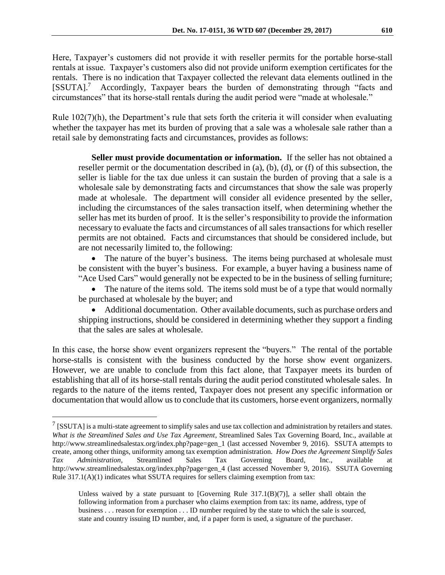Here, Taxpayer's customers did not provide it with reseller permits for the portable horse-stall rentals at issue. Taxpayer's customers also did not provide uniform exemption certificates for the rentals. There is no indication that Taxpayer collected the relevant data elements outlined in the [SSUTA].<sup>7</sup> Accordingly, Taxpayer bears the burden of demonstrating through "facts and circumstances" that its horse-stall rentals during the audit period were "made at wholesale."

Rule  $102(7)(h)$ , the Department's rule that sets forth the criteria it will consider when evaluating whether the taxpayer has met its burden of proving that a sale was a wholesale sale rather than a retail sale by demonstrating facts and circumstances, provides as follows:

**Seller must provide documentation or information.** If the seller has not obtained a reseller permit or the documentation described in (a), (b), (d), or (f) of this subsection, the seller is liable for the tax due unless it can sustain the burden of proving that a sale is a wholesale sale by demonstrating facts and circumstances that show the sale was properly made at wholesale. The department will consider all evidence presented by the seller, including the circumstances of the sales transaction itself, when determining whether the seller has met its burden of proof. It is the seller's responsibility to provide the information necessary to evaluate the facts and circumstances of all sales transactions for which reseller permits are not obtained. Facts and circumstances that should be considered include, but are not necessarily limited to, the following:

 The nature of the buyer's business. The items being purchased at wholesale must be consistent with the buyer's business. For example, a buyer having a business name of "Ace Used Cars" would generally not be expected to be in the business of selling furniture;

• The nature of the items sold. The items sold must be of a type that would normally be purchased at wholesale by the buyer; and

 Additional documentation. Other available documents, such as purchase orders and shipping instructions, should be considered in determining whether they support a finding that the sales are sales at wholesale.

In this case, the horse show event organizers represent the "buyers." The rental of the portable horse-stalls is consistent with the business conducted by the horse show event organizers. However, we are unable to conclude from this fact alone, that Taxpayer meets its burden of establishing that all of its horse-stall rentals during the audit period constituted wholesale sales. In regards to the nature of the items rented, Taxpayer does not present any specific information or documentation that would allow us to conclude that its customers, horse event organizers, normally

 $\overline{a}$ 

 $^7$  [SSUTA] is a multi-state agreement to simplify sales and use tax collection and administration by retailers and states. *What is the Streamlined Sales and Use Tax Agreement*, Streamlined Sales Tax Governing Board, Inc., available at http://www.streamlinedsalestax.org/index.php?page=gen\_1 (last accessed November 9, 2016). SSUTA attempts to create, among other things, uniformity among tax exemption administration. *How Does the Agreement Simplify Sales Tax Administration*, Streamlined Sales Tax Governing Board, Inc., available at http://www.streamlinedsalestax.org/index.php?page=gen\_4 (last accessed November 9, 2016). SSUTA Governing Rule  $317.1(A)(1)$  indicates what SSUTA requires for sellers claiming exemption from tax:

Unless waived by a state pursuant to  $[Government]$  Rule 317.1 $(B)(7)$ ], a seller shall obtain the following information from a purchaser who claims exemption from tax: its name, address, type of business . . . reason for exemption . . . ID number required by the state to which the sale is sourced, state and country issuing ID number, and, if a paper form is used, a signature of the purchaser.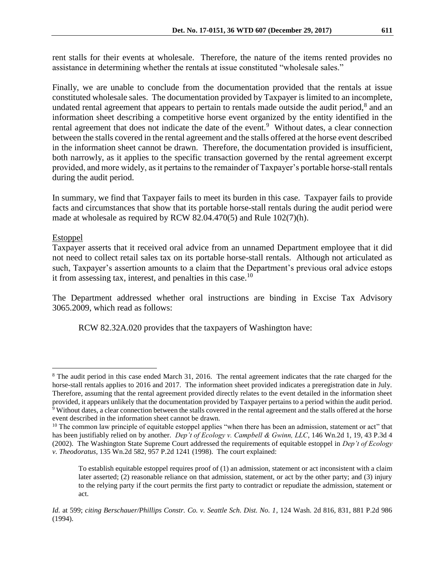rent stalls for their events at wholesale. Therefore, the nature of the items rented provides no assistance in determining whether the rentals at issue constituted "wholesale sales."

Finally, we are unable to conclude from the documentation provided that the rentals at issue constituted wholesale sales. The documentation provided by Taxpayer is limited to an incomplete, undated rental agreement that appears to pertain to rentals made outside the audit period, $8$  and an information sheet describing a competitive horse event organized by the entity identified in the rental agreement that does not indicate the date of the event.<sup>9</sup> Without dates, a clear connection between the stalls covered in the rental agreement and the stalls offered at the horse event described in the information sheet cannot be drawn. Therefore, the documentation provided is insufficient, both narrowly, as it applies to the specific transaction governed by the rental agreement excerpt provided, and more widely, as it pertains to the remainder of Taxpayer's portable horse-stall rentals during the audit period.

In summary, we find that Taxpayer fails to meet its burden in this case. Taxpayer fails to provide facts and circumstances that show that its portable horse-stall rentals during the audit period were made at wholesale as required by RCW 82.04.470(5) and Rule 102(7)(h).

## Estoppel

 $\overline{a}$ 

Taxpayer asserts that it received oral advice from an unnamed Department employee that it did not need to collect retail sales tax on its portable horse-stall rentals. Although not articulated as such, Taxpayer's assertion amounts to a claim that the Department's previous oral advice estops it from assessing tax, interest, and penalties in this case.<sup>10</sup>

The Department addressed whether oral instructions are binding in Excise Tax Advisory 3065.2009, which read as follows:

RCW 82.32A.020 provides that the taxpayers of Washington have:

<sup>&</sup>lt;sup>8</sup> The audit period in this case ended March 31, 2016. The rental agreement indicates that the rate charged for the horse-stall rentals applies to 2016 and 2017. The information sheet provided indicates a preregistration date in July. Therefore, assuming that the rental agreement provided directly relates to the event detailed in the information sheet provided, it appears unlikely that the documentation provided by Taxpayer pertains to a period within the audit period.  $9$  Without dates, a clear connection between the stalls covered in the rental agreement and the stalls offered at the horse event described in the information sheet cannot be drawn.

<sup>&</sup>lt;sup>10</sup> The common law principle of equitable estoppel applies "when there has been an admission, statement or act" that has been justifiably relied on by another. *Dep't of Ecology v. Campbell & Gwinn, LLC*, 146 Wn.2d 1, 19, 43 P.3d 4 (2002). The Washington State Supreme Court addressed the requirements of equitable estoppel in *Dep't of Ecology v. Theodoratus*, 135 Wn.2d 582, 957 P.2d 1241 (1998). The court explained:

To establish equitable estoppel requires proof of (1) an admission, statement or act inconsistent with a claim later asserted; (2) reasonable reliance on that admission, statement, or act by the other party; and (3) injury to the relying party if the court permits the first party to contradict or repudiate the admission, statement or act.

*Id.* at 599; *citing Berschauer/Phillips Constr. Co. v. Seattle Sch. Dist. No. 1*, 124 Wash. 2d 816, 831, 881 P.2d 986 (1994).